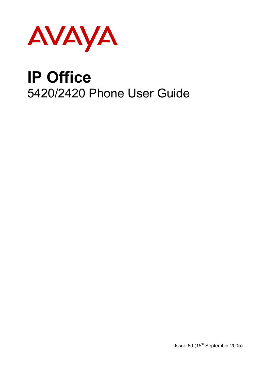

# **IP Office**  5420/2420 Phone User Guide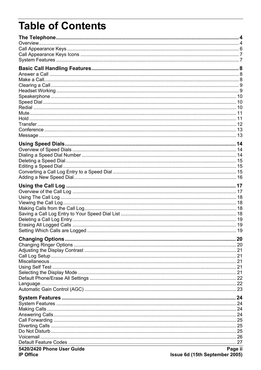# **Table of Contents**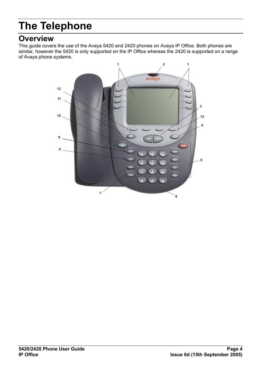# **The Telephone**

## <span id="page-3-0"></span>**Overview**

This guide covers the use of the Avaya 5420 and 2420 phones on Avaya IP Office. Both phones are similar, however the 5420 is only supported on the IP Office whereas the 2420 is supported on a range of Avaya phone systems.

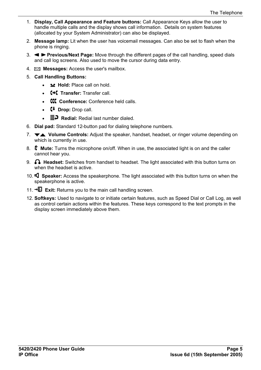- 1. **Display, Call Appearance and Feature buttons:** Call Appearance Keys allow the user to handle multiple calls and the display shows call information. Details on system features (allocated by your System Administrator) can also be displayed.
- 2. **Message lamp:** Lit when the user has voicemail messages. Can also be set to flash when the phone is ringing.
- 3. **Previous/Next Page:** Move through the different pages of the call handling, speed dials and call log screens. Also used to move the cursor during data entry.
- **4. Example 3 Messages:** Access the user's mailbox.
- 5. **Call Handling Buttons:**
	- **Hold:** Place call on hold.
	- **f+€** Transfer: Transfer call.
	- **CCC** Conference: Conference held calls.
	- **Drop:** Drop call.
	- **III** P Redial: Redial last number dialed.
- 6. **Dial pad:** Standard 12-button pad for dialing telephone numbers.
- 7. **Volume Controls:** Adjust the speaker, handset, headset, or ringer volume depending on which is currently in use.
- 8. **Mute:** Turns the microphone on/off. When in use, the associated light is on and the caller cannot hear you.
- 9. **Headset:** Switches from handset to headset. The light associated with this button turns on when the headset is active.
- 10. **Speaker:** Access the speakerphone. The light associated with this button turns on when the speakerphone is active.
- 11.  $\overline{E}$  **Exit:** Returns you to the main call handling screen.
- 12. **Softkeys:** Used to navigate to or initiate certain features, such as Speed Dial or Call Log, as well as control certain actions within the features. These keys correspond to the text prompts in the display screen immediately above them.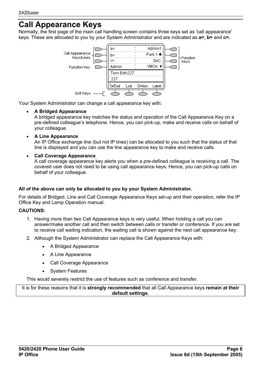### <span id="page-5-0"></span>**Call Appearance Keys**

Normally, the first page of the main call handling screen contains three keys set as 'call appearance' keys. These are allocated to you by your System Administrator and are indicated as **a=**, **b=** and **c=.**



Your System Administrator can change a call appearance key with:

#### • **A Bridged Appearance**

A bridged appearance key matches the status and operation of the Call Appearance Key on a pre-defined colleague's telephone. Hence, you can pick-up, make and receive calls on behalf of your colleague.

• **A Line Appearance**

An IP Office exchange line (but not IP lines) can be allocated to you such that the status of that line is displayed and you can use the line appearance key to make and receive calls.

• **Call Coverage Appearance**

A call coverage appearance key alerts you when a pre-defined colleague is receiving a call. The covered user does not need to be using call appearance keys. Hence, you can pick-up calls on behalf of your colleague.

#### **All of the above can only be allocated to you by your System Administrator.**

For details of Bridged, Line and Call Coverage Appearance Keys set-up and their operation, refer the IP Office Key and Lamp Operation manual.

#### **CAUTIONS:**

- 1. Having more than two Call Appearance keys is very useful. When holding a call you can answer/make another call and then switch between calls or transfer or conference. If you are set to receive call waiting indication, the waiting call is shown against the next call appearance key.
- 2. Although the System Administrator can replace the Call Appearance Keys with:
	- A Bridged Appearance
	- A Line Appearance
	- Call Coverage Appearance
	- **System Features**

This would severely restrict the use of features such as conference and transfer.

It is for these reasons that it is **strongly recommended** that all Call Appearance keys **remain at their default settings**.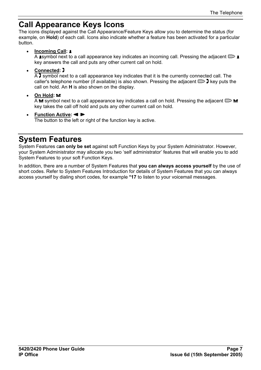### <span id="page-6-1"></span><span id="page-6-0"></span>**Call Appearance Keys Icons**

The icons displayed against the Call Appearance/Feature Keys allow you to determine the status (for example, on **Hold**) of each call. Icons also indicate whether a feature has been activated for a particular button.

• **Incoming Call:** 

A symbol next to a call appearance key indicates an incoming call. Pressing the adjacent  $\Box$ key answers the call and puts any other current call on hold.

• **Connected:** 

 $\overline{A}$  symbol next to a call appearance key indicates that it is the currently connected call. The caller's telephone number (if available) is also shown. Pressing the adjacent  $\Box$  key puts the call on hold. An **H** is also shown on the display.

**On Hold:**  $⊒$ 

 $\overline{A}$   $\cong$  symbol next to a call appearance key indicates a call on hold. Pressing the adjacent  $\Box$   $\cong$ key takes the call off hold and puts any other current call on hold.

• **Function Active:**

The button to the left or right of the function key is active.

### <span id="page-6-2"></span>**System Features**

System Features c**an only be set** against soft Function Keys by your System Administrator. However, your System Administrator may allocate you two 'self administrator' features that will enable you to add System Features to your soft Function Keys.

In addition, there are a number of System Features that **you can always access yourself** by the use of short codes. Refer to System Features Introduction for details of System Features that you can always access yourself by dialing short codes, for example **\*17** to listen to your voicemail messages.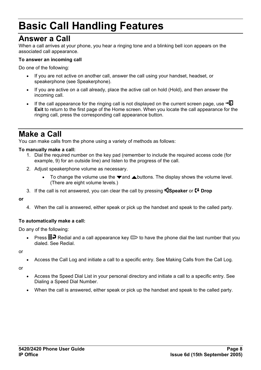# **Basic Call Handling Features**

### <span id="page-7-0"></span>**Answer a Call**

When a call arrives at your phone, you hear a ringing tone and a blinking bell icon appears on the associated call appearance.

#### **To answer an incoming call**

Do one of the following:

- If you are not active on another call, answer the call using your handset, headset, or speakerphone (see Speakerphone).
- If you are active on a call already, place the active call on hold (Hold), and then answer the incoming call.
- If the call appearance for the ringing call is not displayed on the current screen page, use  $\neg \mathbb{Q}$ **Exit** to return to the first page of the Home screen. When you locate the call appearance for the ringing call, press the corresponding call appearance button.

## <span id="page-7-1"></span>**Make a Call**

You can make calls from the phone using a variety of methods as follows:

#### **To manually make a call:**

- 1. Dial the required number on the key pad (remember to include the required access code (for example, 9) for an outside line) and listen to the progress of the call.
- 2. Adjust speakerphone volume as necessary.
	- To change the volume use the  $\blacktriangledown$  and  $\blacktriangle$  buttons. The display shows the volume level. (There are eight volume levels.)
- 3. If the call is not answered, you can clear the call by pressing **Speaker** or **<sup>4</sup>** Drop

#### **or**

4. When the call is answered, either speak or pick up the handset and speak to the called party.

#### **To automatically make a call:**

Do any of the following:

Press  $\mathbb{H}$  Redial and a call appearance key  $\Rightarrow$  to have the phone dial the last number that you dialed. See Redial.

or

• Access the Call Log and initiate a call to a specific entry. See Making Calls from the Call Log.

or

- Access the Speed Dial List in your personal directory and initiate a call to a specific entry. See Dialing a Speed Dial Number.
- When the call is answered, either speak or pick up the handset and speak to the called party.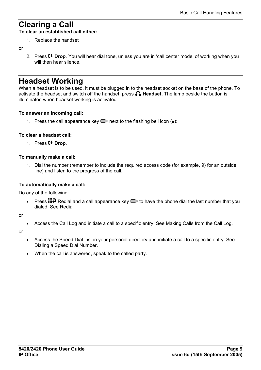## <span id="page-8-0"></span>**Clearing a Call**

**To clear an established call either:** 

1. Replace the handset

#### or

2. Press **Drop**. You will hear dial tone, unless you are in 'call center mode' of working when you will then hear silence.

### <span id="page-8-1"></span>**Headset Working**

When a headset is to be used, it must be plugged in to the headset socket on the base of the phone. To activate the headset and switch off the handset, press **Headset.** The lamp beside the button is illuminated when headset working is activated.

#### **To answer an incoming call:**

1. Press the call appearance key  $\Box$  next to the flashing bell icon ( $\Box$ ):

#### **To clear a headset call:**

1. Press **<sup>4</sup> Drop**.

#### **To manually make a call:**

1. Dial the number (remember to include the required access code (for example, 9) for an outside line) and listen to the progress of the call.

#### **To automatically make a call:**

Do any of the following:

• Press  $\mathbb{H}^{\mathfrak{D}}$  Redial and a call appearance key  $\Box$  to have the phone dial the last number that you dialed. See Redial

or

• Access the Call Log and initiate a call to a specific entry. See Making Calls from the Call Log.

or

- Access the Speed Dial List in your personal directory and initiate a call to a specific entry. See Dialing a Speed Dial Number.
- When the call is answered, speak to the called party.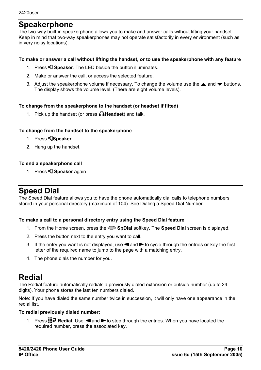### <span id="page-9-0"></span>**Speakerphone**

The two-way built-in speakerphone allows you to make and answer calls without lifting your handset. Keep in mind that two-way speakerphones may not operate satisfactorily in every environment (such as in very noisy locations).

#### **To make or answer a call without lifting the handset, or to use the speakerphone with any feature**

- 1. Press **S Speaker**. The LED beside the button illuminates.
- 2. Make or answer the call, or access the selected feature.
- 3. Adjust the speakerphone volume if necessary. To change the volume use the  $\triangle$  and  $\blacktriangledown$  buttons. The display shows the volume level. (There are eight volume levels).

#### **To change from the speakerphone to the handset (or headset if fitted)**

1. Pick up the handset (or press **Headset**) and talk.

#### **To change from the handset to the speakerphone**

- 1. Press **Speaker**.
- 2. Hang up the handset.

#### **To end a speakerphone call**

1. Press **Speaker** again.

### <span id="page-9-1"></span>**Speed Dial**

The Speed Dial feature allows you to have the phone automatically dial calls to telephone numbers stored in your personal directory (maximum of 104). See Dialing a Speed Dial Number.

#### **To make a call to a personal directory entry using the Speed Dial feature**

- 1. From the Home screen, press the **SpDial** softkey. The **Speed Dial** screen is displayed.
- 2. Press the button next to the entry you want to call.
- 3. If the entry you want is not displayed, use **4** and **to** cycle through the entries **or** key the first letter of the required name to jump to the page with a matching entry.
- 4. The phone dials the number for you.

### <span id="page-9-2"></span>**Redial**

The Redial feature automatically redials a previously dialed extension or outside number (up to 24 digits). Your phone stores the last ten numbers dialed.

Note: If you have dialed the same number twice in succession, it will only have one appearance in the redial list.

#### **To redial previously dialed number:**

1. Press **III.** Redial. Use **4** and to step through the entries. When you have located the required number, press the associated key.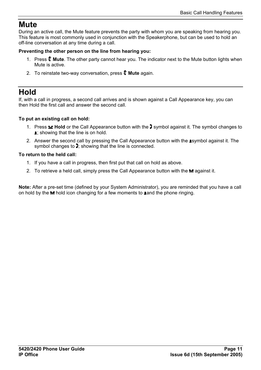### <span id="page-10-0"></span>**Mute**

During an active call, the Mute feature prevents the party with whom you are speaking from hearing you. This feature is most commonly used in conjunction with the Speakerphone, but can be used to hold an off-line conversation at any time during a call.

#### **Preventing the other person on the line from hearing you:**

- 1. Press **Mute**. The other party cannot hear you. The indicator next to the Mute button lights when Mute is active.
- 2. To reinstate two-way conversation, press **Mute** again.

### <span id="page-10-1"></span>**Hold**

If, with a call in progress, a second call arrives and is shown against a Call Appearance key, you can then Hold the first call and answer the second call.

#### **To put an existing call on hold:**

- 1. Press **Hold** or the Call Appearance button with the **J** symbol against it. The symbol changes to **1:** showing that the line is on hold.
- 2. Answer the second call by pressing the Call Appearance button with the **1**symbol against it. The symbol changes to  $\mathbf{J}$ ; showing that the line is connected.

#### **To return to the held call:**

- 1. If you have a call in progress, then first put that call on hold as above.
- 2. To retrieve a held call, simply press the Call Appearance button with the  $\blacktriangle$  against it.

**Note:** After a pre-set time (defined by your System Administrator), you are reminded that you have a call on hold by the  $\blacktriangle$  hold icon changing for a few moments to **a**nd the phone ringing.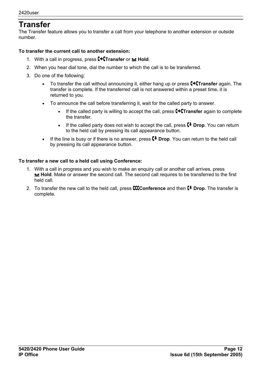### <span id="page-11-0"></span>**Transfer**

The Transfer feature allows you to transfer a call from your telephone to another extension or outside number.

#### **To transfer the current call to another extension:**

- 1. With a call in progress, press **[+[Transfer** or **y** Hold.
- 2. When you hear dial tone, dial the number to which the call is to be transferred.
- 3. Do one of the following:
	- To transfer the call without announcing it, either hang up or press **Transfer** again. The transfer is complete. If the transferred call is not answered within a preset time, it is returned to you.
	- To announce the call before transferring it, wait for the called party to answer.
		- If the called party is willing to accept the call, press **C+CTransfer** again to complete the transfer.
		- If the called party does not wish to accept the call, press  $\mathsf{C}^+$  Drop. You can return to the held call by pressing its call appearance button.
	- If the line is busy or if there is no answer, press  $\mathsf{C}^{\downarrow}$  Drop. You can return to the held call by pressing its call appearance button.

#### **To transfer a new call to a held call using Conference:**

- 1. With a call in progress and you wish to make an enquiry call or another call arrives, press **Hold**. Make or answer the second call. The second call requires to be transferred to the first held call.
- 2. To transfer the new call to the held call, press **CCConference** and then **C+ Drop**. The transfer is complete.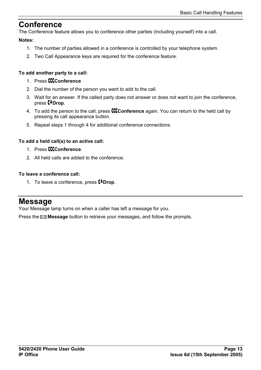### <span id="page-12-1"></span><span id="page-12-0"></span>**Conference**

The Conference feature allows you to conference other parties (including yourself) into a call.

#### **Notes:**

- 1. The number of parties allowed in a conference is controlled by your telephone system.
- 2. Two Call Appearance keys are required for the conference feature.

#### **To add another party to a call:**

- 1 Press **CCC** conference
- 2. Dial the number of the person you want to add to the call.
- 3. Wait for an answer. If the called party does not answer or does not want to join the conference, press *Drop*.
- 4. To add the person to the call, press **CCConference** again. You can return to the held call by pressing its call appearance button.
- 5. Repeat steps 1 through 4 for additional conference connections.

#### **To add a held call(s) to an active call:**

- 1 Press **CCC** conference
- 2. All held calls are added to the conference.

#### **To leave a conference call:**

1. To leave a conference, press **(+Drop**.

### <span id="page-12-2"></span>**Message**

Your Message lamp turns on when a caller has left a message for you.

Press the **Message** button to retrieve your messages, and follow the prompts.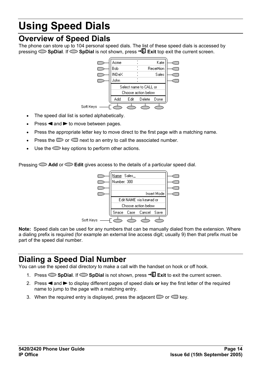# **Using Speed Dials**

### <span id="page-13-0"></span>**Overview of Speed Dials**

The phone can store up to 104 personal speed dials. The list of these speed dials is accessed by pressing **SpDial**. If **SpDial** is not shown, press **Exit** top exit the current screen.



- The speed dial list is sorted alphabetically.
- Press  $\triangleleft$  and  $\triangleright$  to move between pages.
- Press the appropriate letter key to move direct to the first page with a matching name.
- Press the  $\Box$  or  $\Box$  next to an entry to call the associated number.
- Use the  $\blacktriangleright$  key options to perform other actions.

Pressing **Add** or **Edit** gives access to the details of a particular speed dial.



**Note:** Speed dials can be used for any numbers that can be manually dialed from the extension. Where a dialing prefix is required (for example an external line access digit; usually 9) then that prefix must be part of the speed dial number.

## <span id="page-13-1"></span>**Dialing a Speed Dial Number**

You can use the speed dial directory to make a call with the handset on hook or off hook.

- 1. Press **SpDial**. If **SpDial** is not shown, press **Exit** to exit the current screen.
- 2. Press  $\triangleleft$  and  $\triangleright$  to display different pages of speed dials or key the first letter of the required name to jump to the page with a matching entry.
- 3. When the required entry is displayed, press the adjacent  $\Box$  or  $\Box$  key.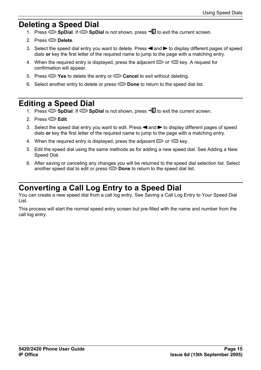### <span id="page-14-0"></span>**Deleting a Speed Dial**

- 1. Press  $\sim$  **SpDial.** If  $\sim$  **SpDial** is not shown, press  $\neg$ **U** to exit the current screen.
- 2. Press **Delete**.
- 3. Select the speed dial entry you want to delete. Press < and to display different pages of speed dials **or** key the first letter of the required name to jump to the page with a matching entry.
- 4. When the required entry is displayed, press the adjacent  $\Box$  or  $\Box$  key. A request for confirmation will appear.
- 5. Press **Yes** to delete the entry or **Cancel** to exit without deleting.
- 6. Select another entry to delete or press **Done** to return to the speed dial list.

### <span id="page-14-1"></span>**Editing a Speed Dial**

- 1. Press  $\sim$  **SpDial.** If  $\sim$  **SpDial** is not shown, press  $\neg$ **U** to exit the current screen.
- 2. Press **Edit**.
- 3. Select the speed dial entry you want to edit. Press  $\triangleleft$  and  $\triangleright$  to display different pages of speed dials **or** key the first letter of the required name to jump to the page with a matching entry.
- 4. When the required entry is displayed, press the adjacent  $\Box$  or  $\Box$  key.
- 5. Edit the speed dial using the same methods as for adding a new speed dial. See Adding a New Speed Dial.
- 6. After saving or canceling any changes you will be returned to the speed dial selection list. Select another speed dial to edit or press **Done** to return to the speed dial list.

### <span id="page-14-2"></span>**Converting a Call Log Entry to a Speed Dial**

You can create a new speed dial from a call log entry. See Saving a Call Log Entry to Your Speed Dial List.

This process will start the normal speed entry screen but pre-filled with the name and number from the call log entry.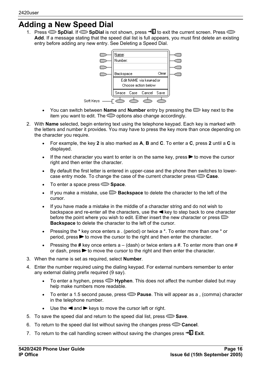### <span id="page-15-1"></span><span id="page-15-0"></span>**Adding a New Speed Dial**

1. Press  $\sim$  **SpDial**. If  $\sim$  **SpDial** is not shown, press  $\sim$  **ID** to exit the current screen. Press  $\sim$ **Add**. If a message stating that the speed dial list is full appears, you must first delete an existing entry before adding any new entry. See Deleting a Speed Dial.



- You can switch between **Name** and **Number** entry by pressing the  $\Box$  key next to the item you want to edit. The  $\supseteq$  options also change accordingly.
- 2. With **Name** selected, begin entering text using the telephone keypad. Each key is marked with the letters and number it provides. You may have to press the key more than once depending on the character you require.
	- For example, the key **2** is also marked as **A**, **B** and **C**. To enter a **C**, press **2** until a **C** is displayed.
	- If the next character you want to enter is on the same key, press  $\blacktriangleright$  to move the cursor right and then enter the character.
	- By default the first letter is entered in upper-case and the phone then switches to lowercase entry mode. To change the case of the current character press **Case**.
	- To enter a space press **Space**.
	- If you make a mistake, use **Backspace** to delete the character to the left of the cursor.
	- If you have made a mistake in the middle of a character string and do not wish to backspace and re-enter all the characters, use the  $\blacktriangleleft$  key to step back to one character before the point where you wish to edit. Either insert the new character or press  $\blacksquare$ **Backspace** to delete the character to the left of the cursor.
	- Pressing the **\*** key once enters a . (period) or twice a \*. To enter more than one \* or period, press  $\blacktriangleright$  to move the cursor to the right and then enter the character.
	- Pressing the **#** key once enters a (dash) or twice enters a #. To enter more than one # or dash, press  $\blacktriangleright$  to move the cursor to the right and then enter the character.
- 3. When the name is set as required, select **Number**.
- 4. Enter the number required using the dialing keypad. For external numbers remember to enter any external dialing prefix required (9 say).
	- To enter a hyphen, press  $\blacktriangleright$  **Hyphen**. This does not affect the number dialed but may help make numbers more readable.
	- To enter a 1.5 second pause, press **Pause**. This will appear as a , (comma) character in the telephone number.
	- Use the  $\blacktriangleleft$  and  $\blacktriangleright$  keys to move the cursor left or right.
- 5. To save the speed dial and return to the speed dial list, press **Save**.
- 6. To return to the speed dial list without saving the changes press **Cancel**.
- 7. To return to the call handling screen without saving the changes press  $\neg \mathbb{Z}$  Exit.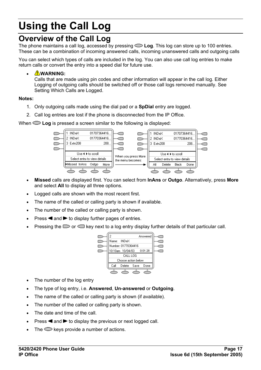# **Using the Call Log**

### <span id="page-16-0"></span>**Overview of the Call Log**

The phone maintains a call log, accessed by pressing **Log**. This log can store up to 100 entries. These can be a combination of incoming answered calls, incoming unanswered calls and outgoing calls

You can select which types of calls are included in the log. You can also use call log entries to make return calls or convert the entry into a speed dial for future use.

#### • **WARNING:**

Calls that are made using pin codes and other information will appear in the call log. Either Logging of outgoing calls should be switched off or those call logs removed manually. See Setting Which Calls are Logged.

#### **Notes:**

- 1. Only outgoing calls made using the dial pad or a **SpDial** entry are logged.
- 2. Call log entries are lost if the phone is disconnected from the IP Office.

When  $\supseteq$  Log is pressed a screen similar to the following is displayed:



- **Missed** calls are displayed first. You can select from **InAns** or **Outgo**. Alternatively, press **More** and select **All** to display all three options.
- Logged calls are shown with the most recent first.
- The name of the called or calling party is shown if available.
- The number of the called or calling party is shown.
- Press  $\triangleleft$  and  $\triangleright$  to display further pages of entries.
- Pressing the  $\sim$  or  $\sim$  key next to a log entry display further details of that particular call.



- The number of the log entry
- The type of log entry, i.e. **Answered**, **Un-answered** or **Outgoing**.
- The name of the called or calling party is shown (if available).
- The number of the called or calling party is shown.
- The date and time of the call.
- Press  $\triangleleft$  and  $\triangleright$  to display the previous or next logged call.
- The  $\supseteq$  keys provide a number of actions.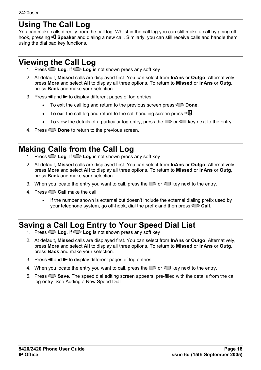### <span id="page-17-0"></span>**Using The Call Log**

You can make calls directly from the call log. Whilst in the call log you can still make a call by going offhook, pressing **Speaker** and dialing a new call. Similarly, you can still receive calls and handle them using the dial pad key functions.

## <span id="page-17-1"></span>**Viewing the Call Log**

- 1. Press **Log**. If **Log** is not shown press any soft key
- 2. At default, **Missed** calls are displayed first. You can select from **InAns** or **Outgo**. Alternatively, press **More** and select **All** to display all three options. To return to **Missed** or **InAns** or **Outg**, press **Back** and make your selection.
- 3. Press  $\triangleleft$  and  $\triangleright$  to display different pages of log entries.
	- To exit the call log and return to the previous screen press **Done**.
	- To exit the call log and return to the call handling screen press  $\neg \Box$ .
	- To view the details of a particular log entry, press the  $\Box$  or  $\Box$  key next to the entry.
- 4. Press **Done** to return to the previous screen.

## <span id="page-17-2"></span>**Making Calls from the Call Log**

- 1. Press **Log**. If **Log** is not shown press any soft key
- 2. At default, **Missed** calls are displayed first. You can select from **InAns** or **Outgo**. Alternatively, press **More** and select **All** to display all three options. To return to **Missed** or **InAns** or **Outg**, press **Back** and make your selection.
- 3. When you locate the entry you want to call, press the  $\Box$  or  $\Box$  key next to the entry.
- 4. Press **Call** make the call.
	- If the number shown is external but doesn't include the external dialing prefix used by your telephone system, go off-hook, dial the prefix and then press **Call**.

## <span id="page-17-3"></span>**Saving a Call Log Entry to Your Speed Dial List**

- 1. Press **Log**. If **Log** is not shown press any soft key
- 2. At default, **Missed** calls are displayed first. You can select from **InAns** or **Outgo**. Alternatively, press **More** and select **All** to display all three options. To return to **Missed** or **InAns** or **Outg**, press **Back** and make your selection.
- 3. Press  $\blacktriangleleft$  and  $\blacktriangleright$  to display different pages of log entries.
- 4. When you locate the entry you want to call, press the  $\Box$  or  $\Box$  key next to the entry.
- 5. Press **Save**. The speed dial editing screen appears, pre-filled with the details from the call log entry. See Adding a New Speed Dial.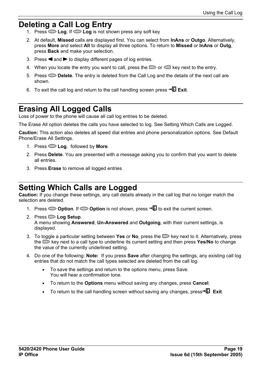### <span id="page-18-1"></span><span id="page-18-0"></span>**Deleting a Call Log Entry**

- 1. Press **Log**. If **Log** is not shown press any soft key
- 2. At default, **Missed** calls are displayed first. You can select from **InAns** or **Outgo**. Alternatively, press **More** and select **All** to display all three options. To return to **Missed** or **InAns** or **Outg**, press **Back** and make your selection.
- 3. Press  $\triangleleft$  and  $\triangleright$  to display different pages of log entries.
- 4. When you locate the entry you want to call, press the  $\Box$  or  $\Box$  key next to the entry.
- 5. Press **Delete**. The entry is deleted from the Call Log and the details of the next call are shown.
- 6. To exit the call log and return to the call handling screen press  $\neg \mathbb{D}$  Exit.

### <span id="page-18-2"></span>**Erasing All Logged Calls**

Loss of power to the phone will cause all call log entries to be deleted.

The Erase All option deletes the calls you have selected to log. See Setting Which Calls are Logged.

**Caution:** This action also deletes all speed dial entries and phone personalization options. See Default Phone/Erase All Settings.

- 1. Press **Log**. followed by **More**.
- 2. Press **Delete**. You are presented with a message asking you to confirm that you want to delete all entries.
- 3. Press **Erase** to remove all logged entries

### <span id="page-18-3"></span>**Setting Which Calls are Logged**

**Caution:** If you change these settings, any call details already in the call log that no longer match the selection are deleted.

- 1. Press  $\sim$  **Option**. If  $\sim$  **Option** is not shown, press  $\sim$  **U** to exit the current screen.
- 2. Press **Log Setup**. A menu showing **Answered**, **Un-Answered** and **Outgoing**, with their current settings, is displayed.
- 3. To toggle a particular setting between **Yes** or **No**, press the key next to it. Alternatively, press the stey next to a call type to underline its current setting and then press **Yes/No** to change the value of the currently underlined setting.
- 4. Do one of the following: **Note:** If you press **Save** after changing the settings, any existing call log entries that do not match the call types selected are deleted from the call log.
	- To save the settings and return to the options menu, press Save. You will hear a confirmation tone.
	- To return to the **Options** menu without saving any changes, press **Cancel**.
	- To return to the call handling screen without saving any changes, press $\neg$ **Exit.**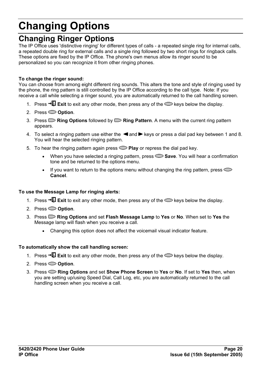# **Changing Options**

### <span id="page-19-0"></span>**Changing Ringer Options**

The IP Office uses 'distinctive ringing' for different types of calls - a repeated single ring for internal calls, a repeated double ring for external calls and a single ring followed by two short rings for ringback calls. These options are fixed by the IP Office. The phone's own menus allow its ringer sound to be personalized so you can recognize it from other ringing phones.

#### **To change the ringer sound:**

You can choose from among eight different ring sounds. This alters the tone and style of ringing used by the phone, the ring pattern is still controlled by the IP Office according to the call type. Note: If you receive a call while selecting a ringer sound, you are automatically returned to the call handling screen.

- 1. Press  $\overline{\mathbf{E}}$  **Exit** to exit any other mode, then press any of the  $\mathbf{E}$  keys below the display.
- 2. Press **Option**.
- 3. Press **Ring Options** followed by **Ring Pattern**. A menu with the current ring pattern appears.
- 4. To select a ringing pattern use either the  $\blacktriangleleft$  and  $\blacktriangleright$  keys or press a dial pad key between 1 and 8. You will hear the selected ringing pattern.
- 5. To hear the ringing pattern again press **Play** or repress the dial pad key.
	- When you have selected a ringing pattern, press  $\triangleright$  **Save**. You will hear a confirmation tone and be returned to the options menu.
	- If you want to return to the options menu without changing the ring pattern, press  $\bigcirc$ **Cancel**.

#### **To use the Message Lamp for ringing alerts:**

- 1. Press  $\overline{\mathbb{Q}}$  Exit to exit any other mode, then press any of the  $\mathbb{Q}$  keys below the display.
- 2. Press **Option**.
- 3. Press **Ring Options** and set **Flash Message Lamp** to **Yes** or **No**. When set to **Yes** the Message lamp will flash when you receive a call.
	- Changing this option does not affect the voicemail visual indicator feature.

#### **To automatically show the call handling screen:**

- 1. Press  $\overline{\text{E}}$  Exit to exit any other mode, then press any of the  $\text{E}$  keys below the display.
- 2. Press **Option**.
- 3. Press **Ring Options** and set **Show Phone Screen** to **Yes** or **No**. If set to **Yes** then, when you are setting up/using Speed Dial, Call Log, etc, you are automatically returned to the call handling screen when you receive a call.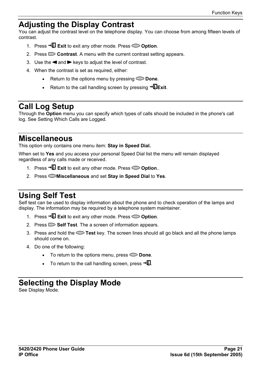### <span id="page-20-0"></span>**Adjusting the Display Contrast**

You can adjust the contrast level on the telephone display. You can choose from among fifteen levels of contrast.

- 1. Press  $\neg$ **Exit** to exit any other mode. Press  $\Rightarrow$  Option.
- 2. Press **Contrast**. A menu with the current contrast setting appears.
- 3. Use the  $\blacktriangleleft$  and  $\blacktriangleright$  keys to adjust the level of contrast.
- 4. When the contrast is set as required, either:
	- Return to the options menu by pressing  $\leq$  **Done**.
	- Return to the call handling screen by pressing  $\rightarrow \mathbb{R}$ Exit.

### <span id="page-20-1"></span>**Call Log Setup**

Through the **Option** menu you can specify which types of calls should be included in the phone's call log. See Setting Which Calls are Logged.

### <span id="page-20-2"></span>**Miscellaneous**

This option only contains one menu item: **Stay in Speed Dial.**

When set to **Yes** and you access your personal Speed Dial list the menu will remain displayed regardless of any calls made or received.

- 1. Press **Exit** to exit any other mode. Press **Option**..
- 2. Press **Miscellaneous** and set **Stay in Speed Dial** to **Yes**.

## <span id="page-20-3"></span>**Using Self Test**

Self test can be used to display information about the phone and to check operation of the lamps and display. The information may be required by a telephone system maintainer.

- 1. Press  $\overline{\mathbf{E}}$  **Exit** to exit any other mode. Press  $\mathbf{C}$  Option.
- 2. Press  $\Box$  **Self Test**. The a screen of information appears.
- 3. Press and hold the **Test** key. The screen lines should all go black and all the phone lamps should come on.
- 4. Do one of the following:
	- To return to the options menu, press  $\sim$  **Done**.
	- To return to the call handling screen, press  $\neg$  $\Box$ .

### <span id="page-20-4"></span>**Selecting the Display Mode**

See Display Mode.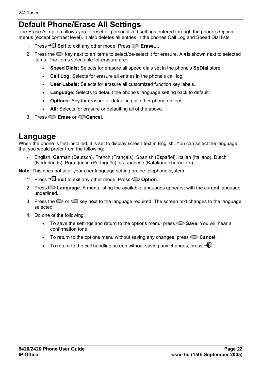### <span id="page-21-0"></span>**Default Phone/Erase All Settings**

The Erase All option allows you to reset all personalized settings entered through the phone's Option menus (except contrast level). It also deletes all entries in the phones Call Log and Speed Dial lists.

- 1. Press **→***Q* **Exit** to exit any other mode. Press **□ Erase...**.
- 2. Press the  $\blacktriangleright$  key next to an items to select/de-select it for erasure. A is shown next to selected items. The items selectable for erasure are:
	- **Speed Dials:** Selects for erasure all speed dials set in the phone's **SpDial** store.
	- **Call Log:** Selects for erasure all entries in the phone's call log.
	- **User Labels:** Selects for erasure all customized function key labels.
	- **Language:** Selects to default the phone's language setting back to default.
	- **Options:** Any for erasure or defaulting all other phone options.
	- All: Selects for erasure or defaulting all of the above.
- 3. Press **Erase** or **Cancel**.

### <span id="page-21-1"></span>**Language**

When the phone is first installed, it is set to display screen text in English. You can select the language that you would prefer from the following:

• English, German (Deutsch), French (Français), Spanish (Español), Italian (Italiano), Dutch (Nederlands), Portuguese (Português) or Japanese (Katakana characters).

**Note:** This does not alter your user language setting on the telephone system.

- 1. Press **→***Q* **Exit** to exit any other mode. Press **◯ Option**.
- 2. Press **Language**. A menu listing the available languages appears, with the current language underlined.
- 3. Press the  $\Box$  or  $\Box$  key next to the language required. The screen text changes to the language selected.
- 4. Do one of the following:
	- To save the settings and return to the options menu, press **Save**. You will hear a confirmation tone.
	- To return to the options menu without saving any changes, press **Cancel**.
	- To return to the call handling screen without saving any changes, press  $\neg$ **U**.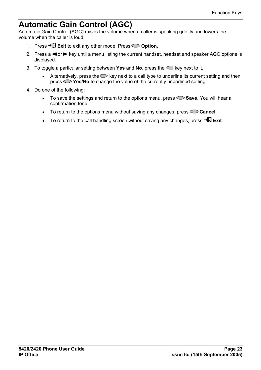### <span id="page-22-1"></span><span id="page-22-0"></span>**Automatic Gain Control (AGC)**

Automatic Gain Control (AGC) raises the volume when a caller is speaking quietly and lowers the volume when the caller is loud.

- 1. Press →*Q* **Exit** to exit any other mode. Press ← Option.
- 2. Press a  $\blacktriangleleft$  or  $\blacktriangleright$  key until a menu listing the current handset, headset and speaker AGC options is displayed.
- 3. To toggle a particular setting between **Yes** and **No**, press the key next to it.
	- Alternatively, press the  $\Box$  key next to a call type to underline its current setting and then press **Yes/No** to change the value of the currently underlined setting.
- 4. Do one of the following:
	- To save the settings and return to the options menu, press  $\triangleright$  **Save**. You will hear a confirmation tone.
	- To return to the options menu without saving any changes, press **Cancel**.
	- To return to the call handling screen without saving any changes, press  $\neg \mathbb{E}$  Exit.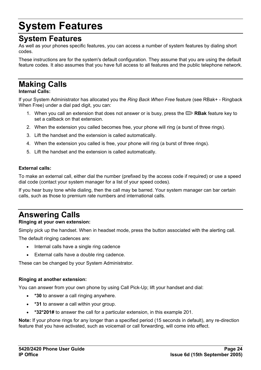# **System Features**

### <span id="page-23-0"></span>**System Features**

As well as your phones specific features, you can access a number of system features by dialing short codes.

These instructions are for the system's default configuration. They assume that you are using the default feature codes. It also assumes that you have full access to all features and the public telephone network.

## <span id="page-23-1"></span>**Making Calls**

#### **Internal Calls:**

If your System Administrator has allocated you the *Ring Back When Free* feature (see RBak+ - Ringback When Free) under a dial pad digit, you can:

- 1. When you call an extension that does not answer or is busy, press the **RBak** feature key to set a callback on that extension.
- 2. When the extension you called becomes free, your phone will ring (a burst of three rings).
- 3. Lift the handset and the extension is called automatically.
- 4. When the extension you called is free, your phone will ring (a burst of three rings).
- 5. Lift the handset and the extension is called automatically.

#### **External calls:**

To make an external call, either dial the number (prefixed by the access code if required) or use a speed dial code (contact your system manager for a list of your speed codes).

If you hear busy tone while dialing, then the call may be barred. Your system manager can bar certain calls, such as those to premium rate numbers and international calls.

## <span id="page-23-2"></span>**Answering Calls**

#### **Ringing at your own extension:**

Simply pick up the handset. When in headset mode, press the button associated with the alerting call.

The default ringing cadences are:

- Internal calls have a single ring cadence
- External calls have a double ring cadence.

These can be changed by your System Administrator.

#### **Ringing at another extension:**

You can answer from your own phone by using Call Pick-Up; lift your handset and dial:

- **\*30** to answer a call ringing anywhere.
- **\*31** to answer a call within your group.
- **\*32\*201#** to answer the call for a particular extension, in this example 201.

**Note:** If your phone rings for any longer than a specified period (15 seconds in default), any re-direction feature that you have activated, such as voicemail or call forwarding, will come into effect.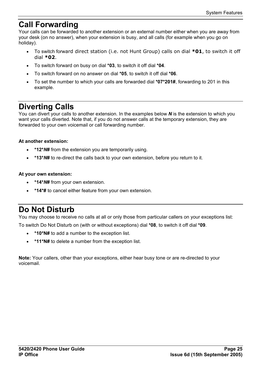### <span id="page-24-0"></span>**Call Forwarding**

Your calls can be forwarded to another extension or an external number either when you are away from your desk (on no answer), when your extension is busy, and all calls (for example when you go on holiday).

- To switch forward direct station (i.e. not Hunt Group) calls on dial **\*01**, to switch it off dial **\*02**.
- To switch forward on busy on dial **\*03**, to switch it off dial **\*04**.
- To switch forward on no answer on dial **\*05**, to switch it off dial **\*06**.
- To set the number to which your calls are forwarded dial **\*07\*201#**, forwarding to 201 in this example.

### <span id="page-24-1"></span>**Diverting Calls**

You can divert your calls to another extension. In the examples below *N* is the extension to which you want your calls diverted. Note that, if you do not answer calls at the temporary extension, they are forwarded to your own voicemail or call forwarding number.

#### **At another extension:**

- **\*12\****N***#** from the extension you are temporarily using.
- **\*13\****N***#** to re-direct the calls back to your own extension, before you return to it.

#### **At your own extension:**

- **\*14\****N***#** from your own extension.
- **\*14\*#** to cancel either feature from your own extension.

### <span id="page-24-2"></span>**Do Not Disturb**

You may choose to receive no calls at all or only those from particular callers on your exceptions list:

To switch Do Not Disturb on (with or without exceptions) dial **\*08**, to switch it off dial **\*09**.

- **\*10\*N#** to add a number to the exception list.
- **\*11\*N#** to delete a number from the exception list.

**Note:** Your callers, other than your exceptions, either hear busy tone or are re-directed to your voicemail.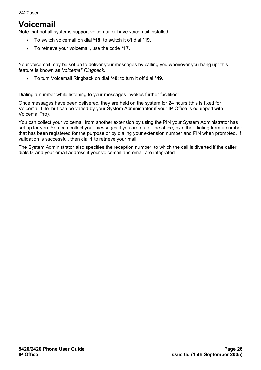### <span id="page-25-0"></span>**Voicemail**

Note that not all systems support voicemail or have voicemail installed.

- To switch voicemail on dial **\*18**, to switch it off dial **\*19**.
- To retrieve your voicemail, use the code **\*17**.

Your voicemail may be set up to deliver your messages by calling you whenever you hang up: this feature is known as *Voicemail Ringback*.

• To turn Voicemail Ringback on dial **\*48**; to turn it off dial **\*49**.

Dialing a number while listening to your messages invokes further facilities:

Once messages have been delivered, they are held on the system for 24 hours (this is fixed for Voicemail Lite, but can be varied by your System Administrator if your IP Office is equipped with VoicemailPro).

You can collect your voicemail from another extension by using the PIN your System Administrator has set up for you. You can collect your messages if you are out of the office, by either dialing from a number that has been registered for the purpose or by dialing your extension number and PIN when prompted. If validation is successful, then dial **1** to retrieve your mail.

The System Administrator also specifies the reception number, to which the call is diverted if the caller dials **0**, and your email address if your voicemail and email are integrated.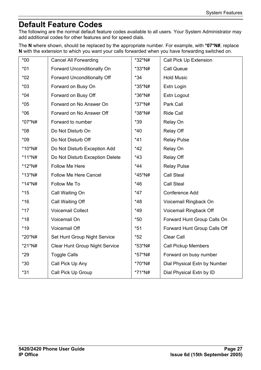## <span id="page-26-1"></span><span id="page-26-0"></span>**Default Feature Codes**

The following are the normal default feature codes available to all users. Your System Administrator may add additional codes for other features and for speed dials.

The **N** where shown, should be replaced by the appropriate number. For example, with **\*07\*N#**, replace **N** with the extension to which you want your calls forwarded when you have forwarding switched on.

| $*00$     | <b>Cancel All Forwarding</b>          | *32*N# | Call Pick Up Extension       |
|-----------|---------------------------------------|--------|------------------------------|
| $*01$     | Forward Unconditionally On            | *33*N# | <b>Call Queue</b>            |
| $*02$     | Forward Unconditionally Off           | $*34$  | <b>Hold Music</b>            |
| $*03$     | Forward on Busy On                    | *35*N# | Extn Login                   |
| $*04$     | Forward on Busy Off                   | *36*N# | Extn Logout                  |
| $*05$     | Forward on No Answer On               | *37*N# | Park Call                    |
| $*06$     | Forward on No Answer Off              | *38*N# | <b>Ride Call</b>             |
| *07*N#    | Forward to number                     | *39    | Relay On                     |
| $*08$     | Do Not Disturb On                     | $*40$  | <b>Relay Off</b>             |
| $*09$     | Do Not Disturb Off                    | $*41$  | <b>Relay Pulse</b>           |
| *10*N#    | Do Not Disturb Exception Add          | *42    | Relay On                     |
| $*11*$ N# | Do Not Disturb Exception Delete       | $*43$  | <b>Relay Off</b>             |
| *12*N#    | Follow Me Here                        | $*44$  | <b>Relay Pulse</b>           |
| $*13*$ N# | Follow Me Here Cancel                 | *45*N# | <b>Call Steal</b>            |
| $*14*$ N# | Follow Me To                          | $*46$  | <b>Call Steal</b>            |
| $*15$     | Call Waiting On                       | $*47$  | Conference Add               |
| $*16$     | Call Waiting Off                      | $*48$  | Voicemail Ringback On        |
| $*17$     | <b>Voicemail Collect</b>              | $*49$  | Voicemail Ringback Off       |
| $*18$     | Voicemail On                          | $*50$  | Forward Hunt Group Calls On  |
| $*19$     | Voicemail Off                         | $*51$  | Forward Hunt Group Calls Off |
| *20*N#    | Set Hunt Group Night Service          | $*52$  | Clear Call                   |
| *21*N#    | <b>Clear Hunt Group Night Service</b> | *53*N# | <b>Call Pickup Members</b>   |
| $*29$     | <b>Toggle Calls</b>                   | *57*N# | Forward on busy number       |
| $*30$     | Call Pick Up Any                      | *70*N# | Dial Physical Extn by Number |
| $*31$     | Call Pick Up Group                    | *71*N# | Dial Physical Extn by ID     |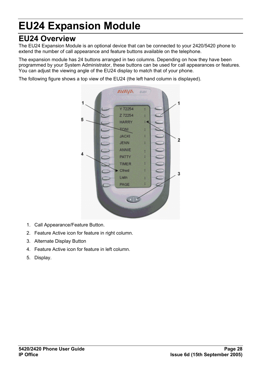# **EU24 Expansion Module**

### <span id="page-27-0"></span>**EU24 Overview**

The EU24 Expansion Module is an optional device that can be connected to your 2420/5420 phone to extend the number of call appearance and feature buttons available on the telephone.

The expansion module has 24 buttons arranged in two columns. Depending on how they have been programmed by your System Administrator, these buttons can be used for call appearances or features. You can adjust the viewing angle of the EU24 display to match that of your phone.

The following figure shows a top view of the EU24 (the left hand column is displayed).



- 1. Call Appearance/Feature Button.
- 2. Feature Active icon for feature in right column.
- 3. Alternate Display Button
- 4. Feature Active icon for feature in left column.
- 5. Display.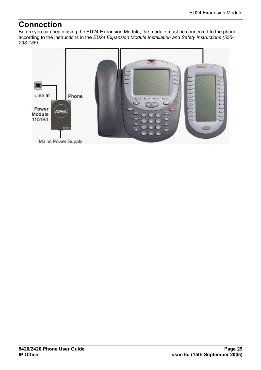### <span id="page-28-0"></span>**Connection**

Before you can begin using the EU24 Expansion Module, the module must be connected to the phone according to the instructions in the *EU24 Expansion Module Installation and Safety Instructions (555- 233-136)*.

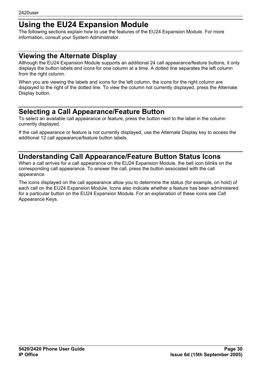### <span id="page-29-1"></span><span id="page-29-0"></span>**Using the EU24 Expansion Module**

The following sections explain how to use the features of the EU24 Expansion Module. For more information, consult your System Administrator.

### <span id="page-29-2"></span>**Viewing the Alternate Display**

Although the EU24 Expansion Module supports an additional 24 call appearance/feature buttons, it only displays the button labels and icons for one column at a time. A dotted line separates the left column from the right column.

When you are viewing the labels and icons for the left column, the icons for the right column are displayed to the right of the dotted line. To view the column not currently displayed, press the Alternate Display button.

### <span id="page-29-3"></span>**Selecting a Call Appearance/Feature Button**

To select an available call appearance or feature, press the button next to the label in the column currently displayed.

If the call appearance or feature is not currently displayed, use the Alternate Display key to access the additional 12 call appearance/feature button labels.

### <span id="page-29-4"></span>**Understanding Call Appearance/Feature Button Status Icons**

When a call arrives for a call appearance on the EU24 Expansion Module, the bell icon blinks on the corresponding call appearance. To answer the call, press the button associated with the call appearance.

The icons displayed on the call appearance allow you to determine the status (for example, on hold) of each call on the EU24 Expansion Module. Icons also indicate whether a feature has been administered for a particular button on the EU24 Expansion Module. For an explanation of these icons see Call Appearance Keys.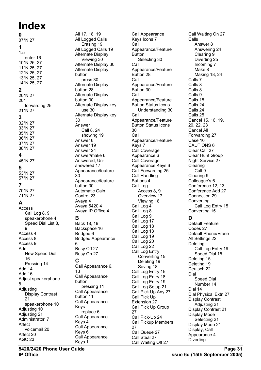## <span id="page-30-0"></span>**Index**

**0** 07\*N 27 **1** 1.5 enter 16 10\*N 25, 27 11\*N 25, 27 12\*N 25, 27 13\*N 25, 27 14\*N 25, 27 **2** 20\*N 27 201 forwarding 25 21\*N 27 **3** 32\*N 27 33\*N 27 35\*N 27 36\*N 27 37\*N 27 38\*N 27 **4** 45\*N 27 **5** 53\*N 27 57\*N 27 **7** 70\*N 27 71\*N 27 **A** Access Call Log 8, 9 speakerphone 4 Speed Dial List 8,

9 Access 4 Access 8 Access 9 **hh**A

16

Add 14 Add 16

Adjusting

21

Affect

Affect 20 AGC 23

Adjusting 10 Adjusting 21 Administrator' 7

8

New Speed Dial

Pressing 14

Adjust speakerphone

Display Contrast

speakerphone 10

voicemail 20

All 17, 18, 19 All Logged Calls Erasing 19 All Logged Calls 19 Alternate Display Viewing 30 Alternate Display 30 Alternate Display button press 30 Alternate Display button 28 Alternate Display button 30 Alternate Display key use 30 Alternate Display key 30 Answer Call 8, 24 showing 19 Answer 8 Answer 19 Answer 24 Answer/make 6 Answered, Unanswered 17 Appearance/feature 30 Appearance/feature button 30 Automatic Gain Control 23 Avaya 4 Avaya 5420 4 Avaya IP Office 4 **B** Back 18, 19 Backspace 16 Bridged 6 Bridged Appearance 6 Busy Off 27 Busy On 27 **C** Call Appearance 6, 13 Call Appearance button pressing 11 Call Appearance button 11 Call Appearance Keys replace 6 Call Appearance Keys 4 Call Appearance Keys 6 Call Appearance

Call Appearance Keys Icons 7 Call Appearance/Feature Button Selecting 30 Call Appearance/Feature Button 28 Call Appearance/Feature Button 30 Call Appearance/Feature Button Status Icons Understanding 30 Call Appearance/Feature Button Status Icons 30 Call Appearance/Feature Keys 7 Call Coverage Appearance 6 Call Coverage Appearance Keys 6 Call Forwarding 25 Call Handling Buttons 4 Call Log Access 8, 9 Overview 17 Viewing 18 Call Log 4 Call Log 8 Call Log 9 Call Log 17 Call Log 18 Call Log 18 Call Log 19 Call Log 20 Call Log 22 Call Log Entry Converting 15 Deleting 19 Saving 18 Call Log Entry 15 Call Log Entry 18 Call Log Entry 19 Call Log Setup 21 Call Pick Up Any 27 Call Pick Up Extension 27 Call Pick Up Group 27 Call Pick-Up 24 Call Pickup Members 27 Call Queue 27 Call Steal 27 Call Waiting Off 27

Call Waiting On 27 Calls Answer 8 Answering 24 Clearing 9 Diverting 25 Incoming 7 Make 8 Making 18, 24 Calls 7 Calls 8 Calls 8 Calls 9 Calls 18 Calls 24 Calls 24 Calls 25 Cancel 15, 16, 19, 20, 22, 23 Cancel All Forwarding 27 Case 16 CAUTIONS 6 Clear Call 27 Clear Hunt Group Night Service 27 **Clearing** Call 9 Clearing 9 Colleague's 6 Conference 12, 13 Conference Add 27 Connection 29 Converting Call Log Entry 15 Converting 15 **D** Default Feature Codes 27 Default Phone/Erase All Settings 22 Deleting Call Log Entry 19 Speed Dial 15 Deleting 15 Deleting 19 Deutsch 22 Dial Speed Dial Number 14 Dial 14 Dial Physical Extn 27 Display Contrast Adjusting 21 Display Contrast 21 Display Mode Selecting 21 Display Mode 21 Display, Call Appearance 4 **Diverting** 

Keys 11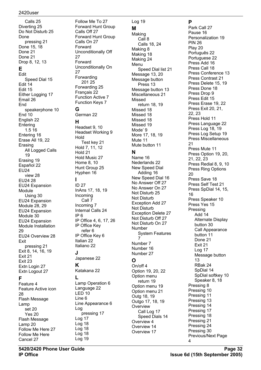Calls 25 Diverting 25 Do Not Disturb 25 Done pressing 21 Done 15, 18 Done 21 Done 21 Drop 8, 12, 13 **E** Edit Speed Dial 15 Edit 14 Edit 15 Either Logging 17 Email 26 End speakerphone 10 End 10 English 22 Entering 1.5 16 Entering 16 Erase All 19, 22 Erasing All Logged Calls 19 Erasing 19 Español 22 EU24 view 28 EU24 28 EU24 Expansion Module Using 30 EU24 Expansion Module 28, 29 EU24 Expansion Module 30 EU24 Expansion Module Installation 29 EU24 Overview 28 Exit pressing 21 Exit 8, 14, 16, 19 Exit 21 Exit 23 Extn Login 27 Extn Logout 27 **F** Feature 4 Feature Active icon

28 Flash Message Lamp set 20 Yes 20 Flash Message Lamp 20 Follow Me Here 27 Follow Me Here Cancel 27

Follow Me To 27 Forward Hunt Group Calls Off 27 Forward Hunt Group Calls On 27 Forward Unconditionally Off 27 Forward Unconditionally On 27 Forwarding 201 25 Forwarding 25 Français 22 Function Active 7 Function Keys 7 **G** German 22 **H** Headset 9, 10 Headset Working 9 Hold Test key 21 Hold 7, 11, 12 Hold 21 Hold Music 27 Home 8, 10 Hunt Group 25 Hyphen 16 **I** ID 27 InAns 17, 18, 19 Incoming Call 7 Incoming 7 Internal Calls 24 IP 6 IP Office 4, 6, 17, 26 IP Office Key refer 6 IP Office Key 6 Italian 22 Italiano 22 **J** Japanese 22 **K** Katakana 22 **L** Lamp Operation 6 Language 22 LED 10 Line 6 Line Appearance 6 Log pressing 17 Log 17 Log 18 Log 18 Log 18 Log 19

Log 19

#### **M**

Making Call 8 Calls 18, 24 Making 8 Making 18 Making 24 Menu Speed Dial list 21 Message 13, 20 Message button Press 13 Message button 13 Miscellaneous 21 Missed return 18, 19 Missed 18 Missed 18 Missed 18 Missed 19 Mode' 9 More 17, 18, 19 Mute 11 Mute button 11 **N** Name 16 Nederlands 22 New Speed Dial Adding 16 New Speed Dial 16 No Answer Off 27 No Answer On 27 Not Disturb 25 Not Disturb Exception Add 27 Not Disturb Exception Delete 27 Not Disturb Off 27 Not Disturb On 27 Number System Features 7 Number 7 Number 16

### **O**

Number 27

On/off 4 Option 19, 20, 22 Option menu return 19 Option menu 19 Option menu 21 Outg 18, 19 Outgo 17, 18, 19 **Overview** Call Log 17 Speed Dials 14 Overview 4 Overview 14 Overview 17

#### **P**

Park Call 27 Pause 16 Personalization 19 PIN 26 Play 20 Português 22 Portuguese 22 Press Add 16 Press Call 18 Press Conference 13 Press Contrast 21 Press Delete 15, 19 Press Done 18 Press Drop 9 Press Edit 15 Press Erase 19, 22 Press Exit 20, 21, 22, 23 Press Hold 11 Press Language 22 Press Log 18, 19 Press Log Setup 19 Press Miscellaneous 21 Press Mute 11 Press Option 19, 20, 21, 22, 23 Press Redial 8, 9, 10 Press Ring Options  $20$ Press Save 18 Press Self Test 21 Press SpDial 14, 15, 16 Press Speaker 10 Press Yes 15 Pressing Add 14 Alternate Display button 30 Call Appearance button 11 Done 21 Exit 21 Log 17 Message button 13 RBak 24 SpDial 14 SpDial softkey 10 Speaker 8, 18 Pressing 8 Pressing 10 Pressing 11 Pressing 13 Pressing 14 Pressing 17 Pressing 18 Pressing 21 Pressing 24 Pressing 30 Previous/Next Page

4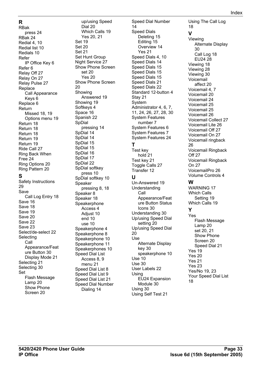RBak press 24 RBak 24 Redial 4, 10 Redial list 10 Redials 10 Refer IP Office Key 6 Refer 6 Relay Off 27 Relay On 27 Relay Pulse 27 Replace Call Appearance Keys 6 Replace 6 Return Missed 18, 19 Options menu 19 Return 18 Return 18 Return 18 Return 19 Return 19 Ride Call 27 Ring Back When Free 24 Ring Options 20 Ring Pattern 20 **S** Safety Instructions 29 Save Call Log Entry 18 Save 16 Save 18 Save 19 Save 20 Save 22 Save 23 Select/de-select 22 Selecting Call Appearance/Feat ure Button 30 Display Mode 21 Selecting 21 Selecting 30 Set Flash Message Lamp 20 Show Phone Screen 20

**R**

up/using Speed Dial 20 Which Calls 19 Yes 20, 21 Set 19 Set 20 Set 21 Set Hunt Group Night Service 27 Show Phone Screen set 20 Yes 20 Show Phone Screen 20 Showing Answered 19 Showing 19 Softkeys 4 Space 16 Spanish 22 SpDial pressing 14 SpDial 14 SpDial 14 SpDial 15 SpDial 15 SpDial 16 SpDial 17 SpDial 22 SpDial softkey press 10 SpDial softkey 10 Speaker pressing 8, 18 Speaker 8 Speaker 18 **Speakerphone** Access 4 Adiust 10 end 10 use 10 Speakerphone 4 Speakerphone 8 Speakerphone 10 Speakerphone 11 Speakerphones 10 Speed Dial List Access 8, 9 menu 21 Speed Dial List 8 Speed Dial List 9 Speed Dial List 21 Speed Dial Number Dialing 14

Speed Dial Number  $14$ Speed Dials Deleting 15 Editing 15 Overview 14 Yes 21 Speed Dials 4, 10 Speed Dials 14 Speed Dials 15 Speed Dials 15 Speed Dials 15 Speed Dials 21 Speed Dials 22 Standard 12-button 4 Stay 21 System Administrator 4, 6, 7, 11, 24, 26, 27, 28, 30 System Features number 7 System Features 6 System Features 7 System Features 24 **T** Test key hold 21 Test key 21 Toggle Calls 27 Transfer 12 **U** Un-Answered 19 Understanding Call Appearance/Feat ure Button Status Icons 30 Understanding 30 Up/using Speed Dial setting 20 Up/using Speed Dial 20 Use Alternate Display key 30 speakerphone 10 Use 10 Use 30 User Labels 22 Using EU24 Expansion Module 30 Using 30

Using Self Test 21

Using The Call Log 18 **V** Viewing Alternate Display 30 Call Log 18 EU24 28 Viewing 18 Viewing 28 Viewing 30 Voicemail affect 20 Voicemail 4, 7 Voicemail 20 Voicemail 24 Voicemail 25 Voicemail 25 Voicemail 26 Voicemail Collect 27 Voicemail Lite 26 Voicemail Off 27 Voicemail On 27 Voicemail ringback 26 Voicemail Ringback Off 27 Voicemail Ringback On 27 VoicemailPro 26 Volume Controls 4 **W** WARNING 17 Which Calls Setting 19 Which Calls 19 **Y** Yes Flash Message Lamp 20 set 20, 21 Show Phone Screen 20 Speed Dial 21 Yes 19 Yes 20 Yes 21 Yes 23 Yes/No 19, 23 Your Speed Dial List

18